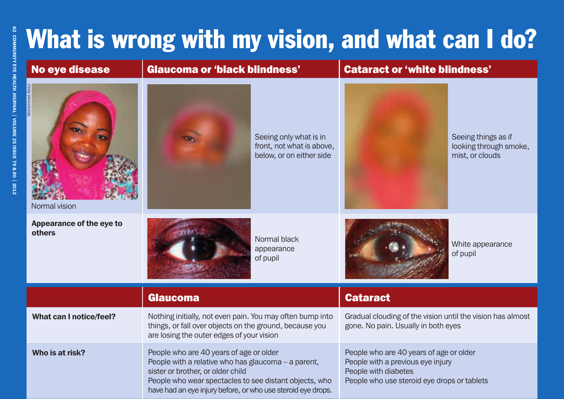## What is wrong with my vision, and what can I do?

| <b>No eye disease</b>              | <b>Glaucoma or 'black blindness'</b>                                                                                                                                                                                                                          |                                                                                 | <b>Cataract or 'white blindness'</b>                                                                                                                |                                                                  |
|------------------------------------|---------------------------------------------------------------------------------------------------------------------------------------------------------------------------------------------------------------------------------------------------------------|---------------------------------------------------------------------------------|-----------------------------------------------------------------------------------------------------------------------------------------------------|------------------------------------------------------------------|
| Mohammed Abc<br>Normal vision      |                                                                                                                                                                                                                                                               | Seeing only what is in<br>front, not what is above,<br>below, or on either side |                                                                                                                                                     | Seeing things as if<br>looking through smoke,<br>mist, or clouds |
| Appearance of the eye to<br>others | Normal black<br>appearance<br>of pupil                                                                                                                                                                                                                        |                                                                                 |                                                                                                                                                     | White appearance<br>of pupil                                     |
|                                    | <b>Glaucoma</b>                                                                                                                                                                                                                                               |                                                                                 | <b>Cataract</b>                                                                                                                                     |                                                                  |
| <b>What can I notice/feel?</b>     | Nothing initially, not even pain. You may often bump into<br>things, or fall over objects on the ground, because you<br>are losing the outer edges of your vision                                                                                             |                                                                                 | Gradual clouding of the vision until the vision has almost<br>gone. No pain. Usually in both eyes                                                   |                                                                  |
| Who is at risk?                    | People who are 40 years of age or older<br>People with a relative who has glaucoma - a parent,<br>sister or brother, or older child<br>People who wear spectacles to see distant objects, who<br>have had an eye injury before, or who use steroid eye drops. |                                                                                 | People who are 40 years of age or older<br>People with a previous eye injury<br>People with diabetes<br>People who use steroid eye drops or tablets |                                                                  |